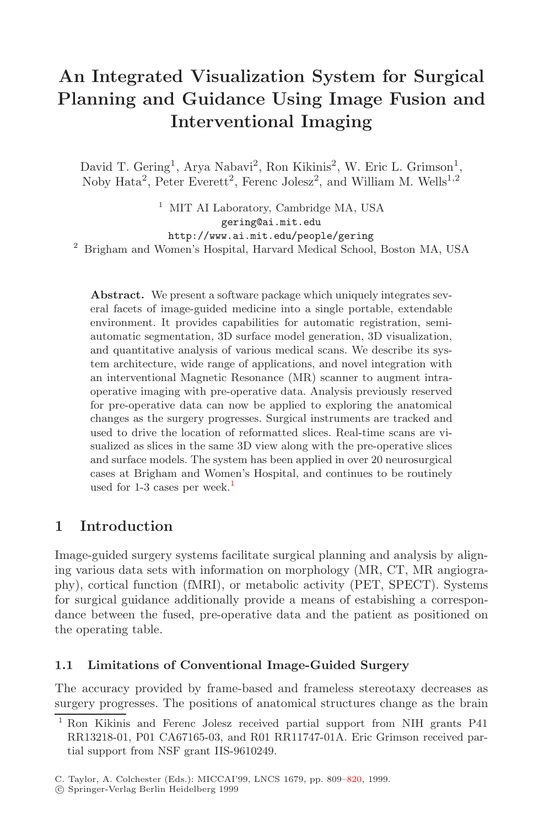# **An Integrated Visualization System for Surgical Planning and Guidance Using Image Fusion and Interventional Imaging**

David T. Gering<sup>1</sup>, Arya Nabavi<sup>2</sup>, Ron Kikinis<sup>2</sup>, W. Eric L. Grimson<sup>1</sup>, Noby Hata<sup>2</sup>, Peter Everett<sup>2</sup>, Ferenc Jolesz<sup>2</sup>, and William M. Wells<sup>1,2</sup>

<sup>1</sup> MIT AI Laboratory, Cambridge MA, USA gering@ai.mit.edu http://www.ai.mit.edu/people/gering <sup>2</sup> Brigham and Women's Hospital, Harvard Medical School, Boston MA, USA

**Abstract.** We present a software package which uniquely integrates several facets of image-guided medicine into a single portable, extendable environment. It provides capabilities for automatic registration, semiautomatic segmentation, 3D surface model generation, 3D visualization, and quantitative analysis of various medical scans. We describe its system architecture, wide range of applications, and novel integration with an interventional Magnetic Resonance (MR) scanner to augment intraoperative imaging with pre-operative data. Analysis previously reserved for pre-operative data can now be applied to exploring the anatomical changes as the surgery progresses. Surgical instruments are tracked and used to drive the location of reformatted slices. Real-time scans are visualized as slices in the same 3D view along with the pre-operative slices and surface models. The system has been applied in over 20 neurosurgical cases at Brigham and Women's Hospital, and continues to be routinely used for  $1-3$  cases per week.<sup>1</sup>

## **1 Introduction**

Image-guided surgery systems facilitate surgical planning and analysis by aligning various data sets with information on morphology (MR, CT, MR angiography), cortical function (fMRI), or metabolic activity (PET, SPECT). Systems for surgical guidance additionally provide a means of estabishing a correspondance between the fused, pre-operative data and the patient as positioned on the operating table.

#### **1.1 Limitations of Conventional Image-Guided Surgery**

The accuracy provided by frame-based and frameless stereotaxy decreases as surgery progresses. The positions of anatomical structures change as the brain

<sup>1</sup> Ron Kikinis and Ferenc Jolesz received partial support from NIH grants P41 RR13218-01, P01 CA67165-03, and R01 RR11747-01A. Eric Grimson received partial support from NSF grant IIS-9610249.

C. Taylor, A. Colchester (Eds.): MICCAI'99, LNCS 1679, pp. 809–820, 1999.

c Springer-Verlag Berlin Heidelberg 1999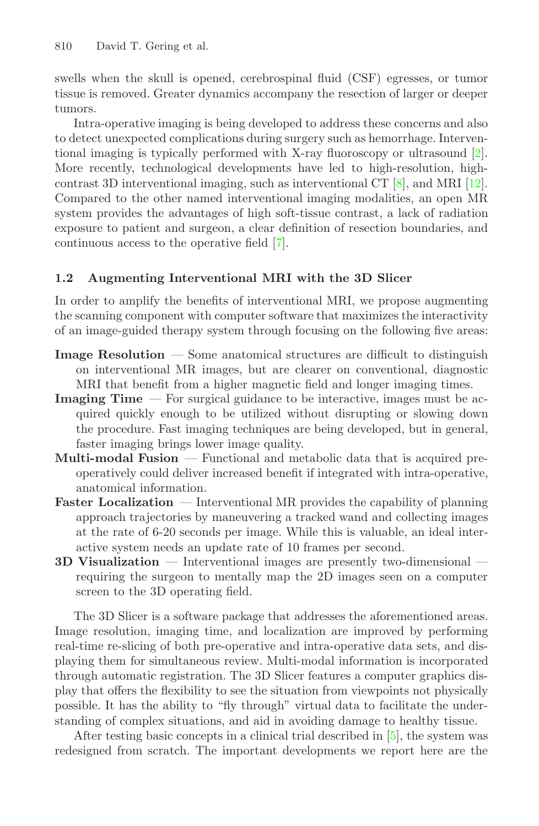swells when the skull is opened, cerebrospinal fluid (CSF) egresses, or tumor tissue is removed. Greater dynamics accompany the resection of larger or deeper tumors.

Intra-operative imaging is being developed to address these concerns and also to detect unexpected complications during surgery such as hemorrhage. Interventional imaging is typically performed with X-ray fluoroscopy or ultrasound [2]. More recently, technological developments have led to high-resolution, highcontrast 3D interventional imaging, such as interventional CT [8], and MRI [12]. Compared to the other named interventional imaging modalities, an open MR system provides the advantages of high soft-tissue contrast, a lack of radiation exposure to patient and surgeon, a clear definition of resection boundaries, and continuous access to the operative field [7].

## **1.2 Augmenting Interventional MRI with the 3D Slicer**

In order to amplify the benefits of interventional MRI, we propose augmenting the scanning component with computer software that maximizes the interactivity of an image-guided therapy system through focusing on the following five areas:

- **Image Resolution** Some anatomical structures are difficult to distinguish on interventional MR images, but are clearer on conventional, diagnostic MRI that benefit from a higher magnetic field and longer imaging times.
- **Imaging Time** For surgical guidance to be interactive, images must be acquired quickly enough to be utilized without disrupting or slowing down the procedure. Fast imaging techniques are being developed, but in general, faster imaging brings lower image quality.
- **Multi-modal Fusion** Functional and metabolic data that is acquired preoperatively could deliver increased benefit if integrated with intra-operative, anatomical information.
- **Faster Localization** Interventional MR provides the capability of planning approach trajectories by maneuvering a tracked wand and collecting images at the rate of 6-20 seconds per image. While this is valuable, an ideal interactive system needs an update rate of 10 frames per second.
- **3D Visualization** Interventional images are presently two-dimensional requiring the surgeon to mentally map the 2D images seen on a computer screen to the 3D operating field.

The 3D Slicer is a software package that addresses the aforementioned areas. Image resolution, imaging time, and localization are improved by performing real-time re-slicing of both pre-operative and intra-operative data sets, and displaying them for simultaneous review. Multi-modal information is incorporated through automatic registration. The 3D Slicer features a computer graphics display that offers the flexibility to see the situation from viewpoints not physically possible. It has the ability to "fly through" virtual data to facilitate the understanding of complex situations, and aid in avoiding damage to healthy tissue.

After testing basic concepts in a clinical trial described in [5], the system was redesigned from scratch. The important developments we report here are the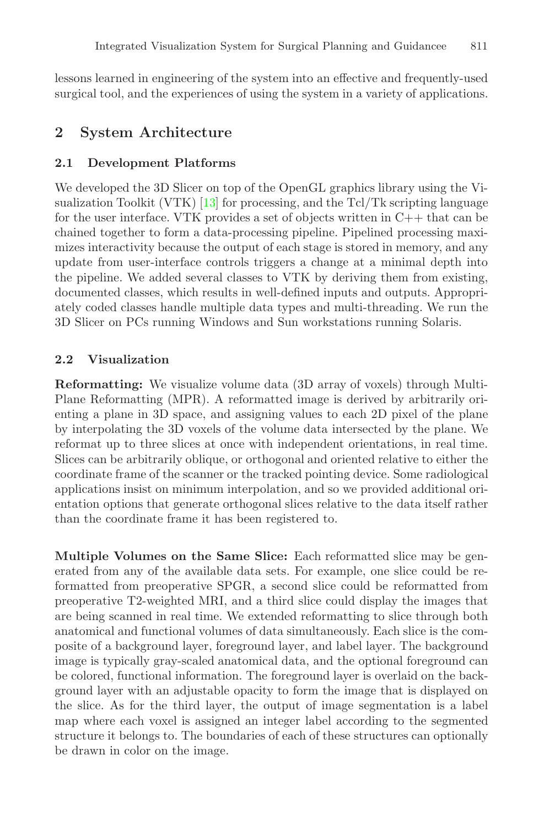lessons learned in engineering of the system into an effective and frequently-used surgical tool, and the experiences of using the system in a variety of applications.

### **2 System Architecture**

#### **2.1 Development Platforms**

We developed the 3D Slicer on top of the OpenGL graphics library using the Visualization Toolkit (VTK) [13] for processing, and the Tcl/Tk scripting language for the user interface. VTK provides a set of objects written in C++ that can be chained together to form a data-processing pipeline. Pipelined processing maximizes interactivity because the output of each stage is stored in memory, and any update from user-interface controls triggers a change at a minimal depth into the pipeline. We added several classes to VTK by deriving them from existing, documented classes, which results in well-defined inputs and outputs. Appropriately coded classes handle multiple data types and multi-threading. We run the 3D Slicer on PCs running Windows and Sun workstations running Solaris.

#### **2.2 Visualization**

**Reformatting:** We visualize volume data (3D array of voxels) through Multi-Plane Reformatting (MPR). A reformatted image is derived by arbitrarily orienting a plane in 3D space, and assigning values to each 2D pixel of the plane by interpolating the 3D voxels of the volume data intersected by the plane. We reformat up to three slices at once with independent orientations, in real time. Slices can be arbitrarily oblique, or orthogonal and oriented relative to either the coordinate frame of the scanner or the tracked pointing device. Some radiological applications insist on minimum interpolation, and so we provided additional orientation options that generate orthogonal slices relative to the data itself rather than the coordinate frame it has been registered to.

**Multiple Volumes on the Same Slice:** Each reformatted slice may be generated from any of the available data sets. For example, one slice could be reformatted from preoperative SPGR, a second slice could be reformatted from preoperative T2-weighted MRI, and a third slice could display the images that are being scanned in real time. We extended reformatting to slice through both anatomical and functional volumes of data simultaneously. Each slice is the composite of a background layer, foreground layer, and label layer. The background image is typically gray-scaled anatomical data, and the optional foreground can be colored, functional information. The foreground layer is overlaid on the background layer with an adjustable opacity to form the image that is displayed on the slice. As for the third layer, the output of image segmentation is a label map where each voxel is assigned an integer label according to the segmented structure it belongs to. The boundaries of each of these structures can optionally be drawn in color on the image.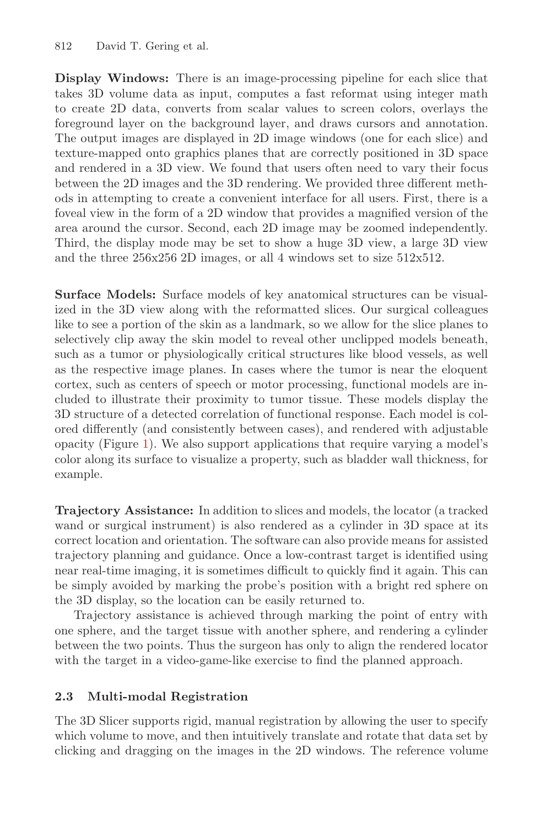**Display Windows:** There is an image-processing pipeline for each slice that takes 3D volume data as input, computes a fast reformat using integer math to create 2D data, converts from scalar values to screen colors, overlays the foreground layer on the background layer, and draws cursors and annotation. The output images are displayed in 2D image windows (one for each slice) and texture-mapped onto graphics planes that are correctly positioned in 3D space and rendered in a 3D view. We found that users often need to vary their focus between the 2D images and the 3D rendering. We provided three different methods in attempting to create a convenient interface for all users. First, there is a foveal view in the form of a 2D window that provides a magnified version of the area around the cursor. Second, each 2D image may be zoomed independently. Third, the display mode may be set to show a huge 3D view, a large 3D view and the three 256x256 2D images, or all 4 windows set to size 512x512.

**Surface Models:** Surface models of key anatomical structures can be visualized in the 3D view along with the reformatted slices. Our surgical colleagues like to see a portion of the skin as a landmark, so we allow for the slice planes to selectively clip away the skin model to reveal other unclipped models beneath, such as a tumor or physiologically critical structures like blood vessels, as well as the respective image planes. In cases where the tumor is near the eloquent cortex, such as centers of speech or motor processing, functional models are included to illustrate their proximity to tumor tissue. These models display the 3D structure of a detected correlation of functional response. Each model is colored differently (and consistently between cases), and rendered with adjustable opacity (Figure 1). We also support applications that require varying a model's color along its surface to visualize a property, such as bladder wall thickness, for example.

**Trajectory Assistance:** In addition to slices and models, the locator (a tracked wand or surgical instrument) is also rendered as a cylinder in 3D space at its correct location and orientation. The software can also provide means for assisted trajectory planning and guidance. Once a low-contrast target is identified using near real-time imaging, it is sometimes difficult to quickly find it again. This can be simply avoided by marking the probe's position with a bright red sphere on the 3D display, so the location can be easily returned to.

Trajectory assistance is achieved through marking the point of entry with one sphere, and the target tissue with another sphere, and rendering a cylinder between the two points. Thus the surgeon has only to align the rendered locator with the target in a video-game-like exercise to find the planned approach.

## **2.3 Multi-modal Registration**

The 3D Slicer supports rigid, manual registration by allowing the user to specify which volume to move, and then intuitively translate and rotate that data set by clicking and dragging on the images in the 2D windows. The reference volume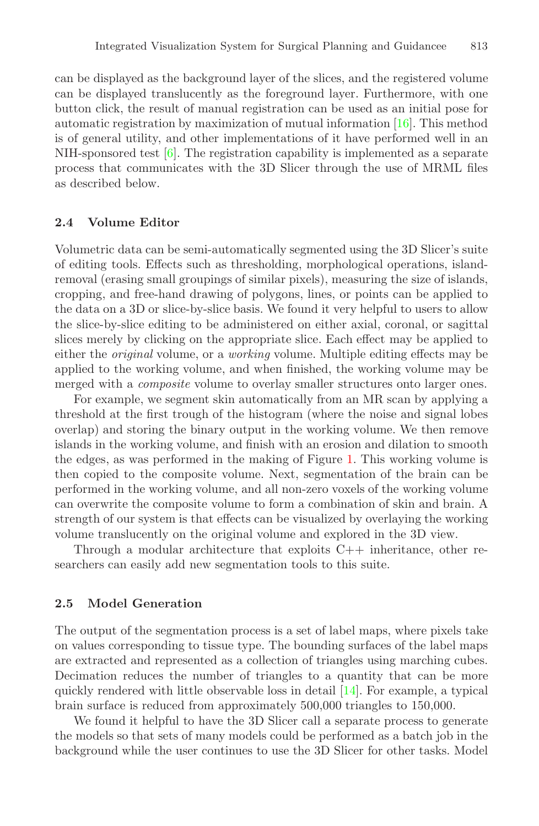can be displayed as the background layer of the slices, and the registered volume can be displayed translucently as the foreground layer. Furthermore, with one button click, the result of manual registration can be used as an initial pose for automatic registration by maximization of mutual information [16]. This method is of general utility, and other implementations of it have performed well in an NIH-sponsored test [6]. The registration capability is implemented as a separate process that communicates with the 3D Slicer through the use of MRML files as described below.

#### **2.4 Volume Editor**

Volumetric data can be semi-automatically segmented using the 3D Slicer's suite of editing tools. Effects such as thresholding, morphological operations, islandremoval (erasing small groupings of similar pixels), measuring the size of islands, cropping, and free-hand drawing of polygons, lines, or points can be applied to the data on a 3D or slice-by-slice basis. We found it very helpful to users to allow the slice-by-slice editing to be administered on either axial, coronal, or sagittal slices merely by clicking on the appropriate slice. Each effect may be applied to either the *original* volume, or a *working* volume. Multiple editing effects may be applied to the working volume, and when finished, the working volume may be merged with a *composite* volume to overlay smaller structures onto larger ones.

For example, we segment skin automatically from an MR scan by applying a threshold at the first trough of the histogram (where the noise and signal lobes overlap) and storing the binary output in the working volume. We then remove islands in the working volume, and finish with an erosion and dilation to smooth the edges, as was performed in the making of Figure 1. This working volume is then copied to the composite volume. Next, segmentation of the brain can be performed in the working volume, and all non-zero voxels of the working volume can overwrite the composite volume to form a combination of skin and brain. A strength of our system is that effects can be visualized by overlaying the working volume translucently on the original volume and explored in the 3D view.

Through a modular architecture that exploits  $C++$  inheritance, other researchers can easily add new segmentation tools to this suite.

#### **2.5 Model Generation**

The output of the segmentation process is a set of label maps, where pixels take on values corresponding to tissue type. The bounding surfaces of the label maps are extracted and represented as a collection of triangles using marching cubes. Decimation reduces the number of triangles to a quantity that can be more quickly rendered with little observable loss in detail [14]. For example, a typical brain surface is reduced from approximately 500,000 triangles to 150,000.

We found it helpful to have the 3D Slicer call a separate process to generate the models so that sets of many models could be performed as a batch job in the background while the user continues to use the 3D Slicer for other tasks. Model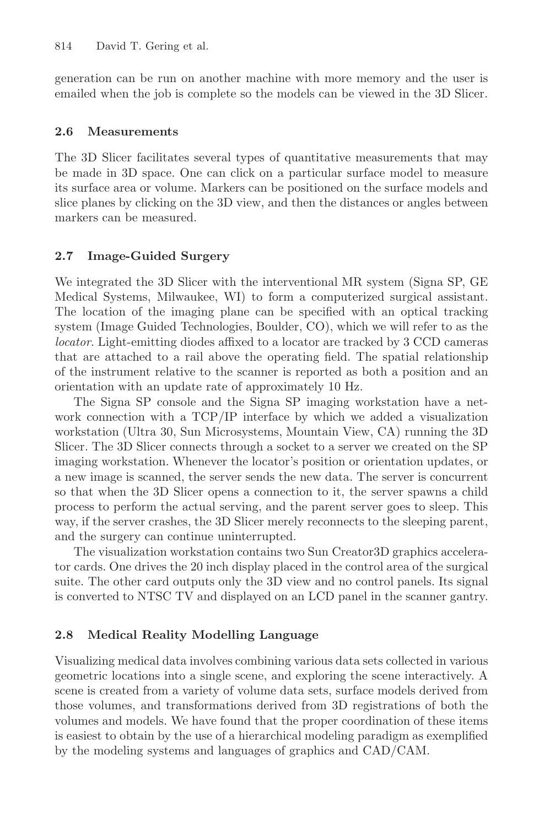generation can be run on another machine with more memory and the user is emailed when the job is complete so the models can be viewed in the 3D Slicer.

#### **2.6 Measurements**

The 3D Slicer facilitates several types of quantitative measurements that may be made in 3D space. One can click on a particular surface model to measure its surface area or volume. Markers can be positioned on the surface models and slice planes by clicking on the 3D view, and then the distances or angles between markers can be measured.

#### **2.7 Image-Guided Surgery**

We integrated the 3D Slicer with the interventional MR system (Signa SP, GE Medical Systems, Milwaukee, WI) to form a computerized surgical assistant. The location of the imaging plane can be specified with an optical tracking system (Image Guided Technologies, Boulder, CO), which we will refer to as the *locator*. Light-emitting diodes affixed to a locator are tracked by 3 CCD cameras that are attached to a rail above the operating field. The spatial relationship of the instrument relative to the scanner is reported as both a position and an orientation with an update rate of approximately 10 Hz.

The Signa SP console and the Signa SP imaging workstation have a network connection with a TCP/IP interface by which we added a visualization workstation (Ultra 30, Sun Microsystems, Mountain View, CA) running the 3D Slicer. The 3D Slicer connects through a socket to a server we created on the SP imaging workstation. Whenever the locator's position or orientation updates, or a new image is scanned, the server sends the new data. The server is concurrent so that when the 3D Slicer opens a connection to it, the server spawns a child process to perform the actual serving, and the parent server goes to sleep. This way, if the server crashes, the 3D Slicer merely reconnects to the sleeping parent, and the surgery can continue uninterrupted.

The visualization workstation contains two Sun Creator3D graphics accelerator cards. One drives the 20 inch display placed in the control area of the surgical suite. The other card outputs only the 3D view and no control panels. Its signal is converted to NTSC TV and displayed on an LCD panel in the scanner gantry.

#### **2.8 Medical Reality Modelling Language**

Visualizing medical data involves combining various data sets collected in various geometric locations into a single scene, and exploring the scene interactively. A scene is created from a variety of volume data sets, surface models derived from those volumes, and transformations derived from 3D registrations of both the volumes and models. We have found that the proper coordination of these items is easiest to obtain by the use of a hierarchical modeling paradigm as exemplified by the modeling systems and languages of graphics and CAD/CAM.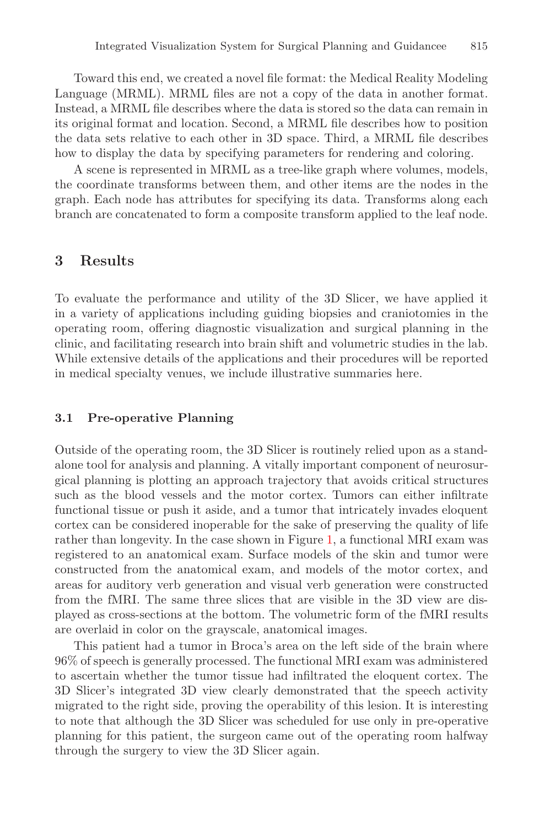Toward this end, we created a novel file format: the Medical Reality Modeling Language (MRML). MRML files are not a copy of the data in another format. Instead, a MRML file describes where the data is stored so the data can remain in its original format and location. Second, a MRML file describes how to position the data sets relative to each other in 3D space. Third, a MRML file describes how to display the data by specifying parameters for rendering and coloring.

A scene is represented in MRML as a tree-like graph where volumes, models, the coordinate transforms between them, and other items are the nodes in the graph. Each node has attributes for specifying its data. Transforms along each branch are concatenated to form a composite transform applied to the leaf node.

#### **3 Results**

To evaluate the performance and utility of the 3D Slicer, we have applied it in a variety of applications including guiding biopsies and craniotomies in the operating room, offering diagnostic visualization and surgical planning in the clinic, and facilitating research into brain shift and volumetric studies in the lab. While extensive details of the applications and their procedures will be reported in medical specialty venues, we include illustrative summaries here.

#### **3.1 Pre-operative Planning**

Outside of the operating room, the 3D Slicer is routinely relied upon as a standalone tool for analysis and planning. A vitally important component of neurosurgical planning is plotting an approach trajectory that avoids critical structures such as the blood vessels and the motor cortex. Tumors can either infiltrate functional tissue or push it aside, and a tumor that intricately invades eloquent cortex can be considered inoperable for the sake of preserving the quality of life rather than longevity. In the case shown in Figure 1, a functional MRI exam was registered to an anatomical exam. Surface models of the skin and tumor were constructed from the anatomical exam, and models of the motor cortex, and areas for auditory verb generation and visual verb generation were constructed from the fMRI. The same three slices that are visible in the 3D view are displayed as cross-sections at the bottom. The volumetric form of the fMRI results are overlaid in color on the grayscale, anatomical images.

This patient had a tumor in Broca's area on the left side of the brain where 96% of speech is generally processed. The functional MRI exam was administered to ascertain whether the tumor tissue had infiltrated the eloquent cortex. The 3D Slicer's integrated 3D view clearly demonstrated that the speech activity migrated to the right side, proving the operability of this lesion. It is interesting to note that although the 3D Slicer was scheduled for use only in pre-operative planning for this patient, the surgeon came out of the operating room halfway through the surgery to view the 3D Slicer again.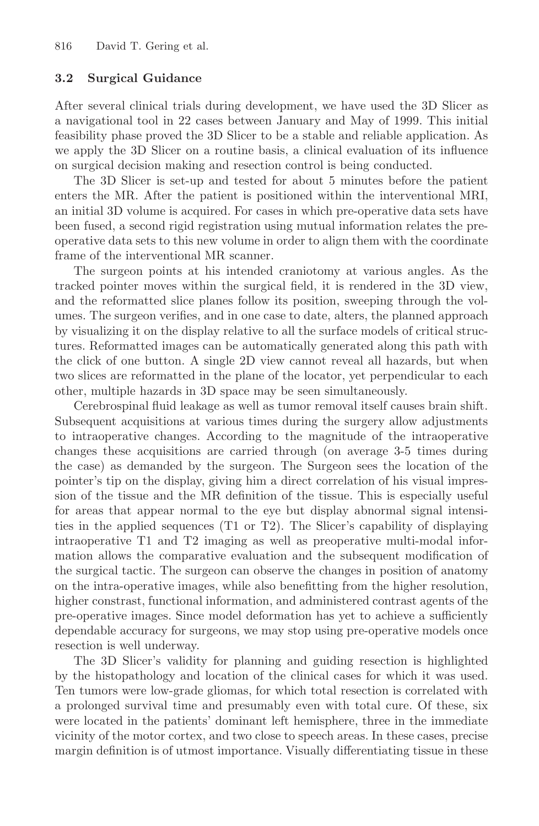#### **3.2 Surgical Guidance**

After several clinical trials during development, we have used the 3D Slicer as a navigational tool in 22 cases between January and May of 1999. This initial feasibility phase proved the 3D Slicer to be a stable and reliable application. As we apply the 3D Slicer on a routine basis, a clinical evaluation of its influence on surgical decision making and resection control is being conducted.

The 3D Slicer is set-up and tested for about 5 minutes before the patient enters the MR. After the patient is positioned within the interventional MRI, an initial 3D volume is acquired. For cases in which pre-operative data sets have been fused, a second rigid registration using mutual information relates the preoperative data sets to this new volume in order to align them with the coordinate frame of the interventional MR scanner.

The surgeon points at his intended craniotomy at various angles. As the tracked pointer moves within the surgical field, it is rendered in the 3D view, and the reformatted slice planes follow its position, sweeping through the volumes. The surgeon verifies, and in one case to date, alters, the planned approach by visualizing it on the display relative to all the surface models of critical structures. Reformatted images can be automatically generated along this path with the click of one button. A single 2D view cannot reveal all hazards, but when two slices are reformatted in the plane of the locator, yet perpendicular to each other, multiple hazards in 3D space may be seen simultaneously.

Cerebrospinal fluid leakage as well as tumor removal itself causes brain shift. Subsequent acquisitions at various times during the surgery allow adjustments to intraoperative changes. According to the magnitude of the intraoperative changes these acquisitions are carried through (on average 3-5 times during the case) as demanded by the surgeon. The Surgeon sees the location of the pointer's tip on the display, giving him a direct correlation of his visual impression of the tissue and the MR definition of the tissue. This is especially useful for areas that appear normal to the eye but display abnormal signal intensities in the applied sequences (T1 or T2). The Slicer's capability of displaying intraoperative T1 and T2 imaging as well as preoperative multi-modal information allows the comparative evaluation and the subsequent modification of the surgical tactic. The surgeon can observe the changes in position of anatomy on the intra-operative images, while also benefitting from the higher resolution, higher constrast, functional information, and administered contrast agents of the pre-operative images. Since model deformation has yet to achieve a sufficiently dependable accuracy for surgeons, we may stop using pre-operative models once resection is well underway.

The 3D Slicer's validity for planning and guiding resection is highlighted by the histopathology and location of the clinical cases for which it was used. Ten tumors were low-grade gliomas, for which total resection is correlated with a prolonged survival time and presumably even with total cure. Of these, six were located in the patients' dominant left hemisphere, three in the immediate vicinity of the motor cortex, and two close to speech areas. In these cases, precise margin definition is of utmost importance. Visually differentiating tissue in these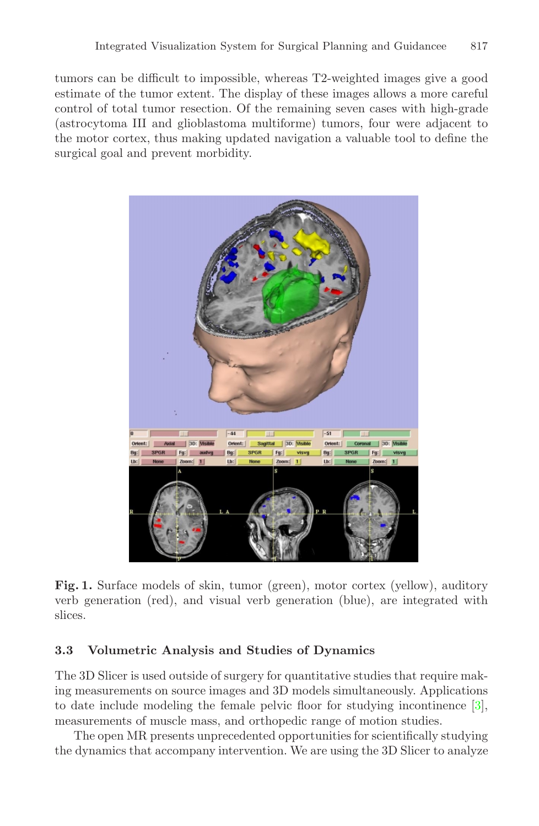tumors can be difficult to impossible, whereas T2-weighted images give a good estimate of the tumor extent. The display of these images allows a more careful control of total tumor resection. Of the remaining seven cases with high-grade (astrocytoma III and glioblastoma multiforme) tumors, four were adjacent to the motor cortex, thus making updated navigation a valuable tool to define the surgical goal and prevent morbidity.



**Fig. 1.** Surface models of skin, tumor (green), motor cortex (yellow), auditory verb generation (red), and visual verb generation (blue), are integrated with slices.

#### **3.3 Volumetric Analysis and Studies of Dynamics**

The 3D Slicer is used outside of surgery for quantitative studies that require making measurements on source images and 3D models simultaneously. Applications to date include modeling the female pelvic floor for studying incontinence [3], measurements of muscle mass, and orthopedic range of motion studies.

The open MR presents unprecedented opportunities for scientifically studying the dynamics that accompany intervention. We are using the 3D Slicer to analyze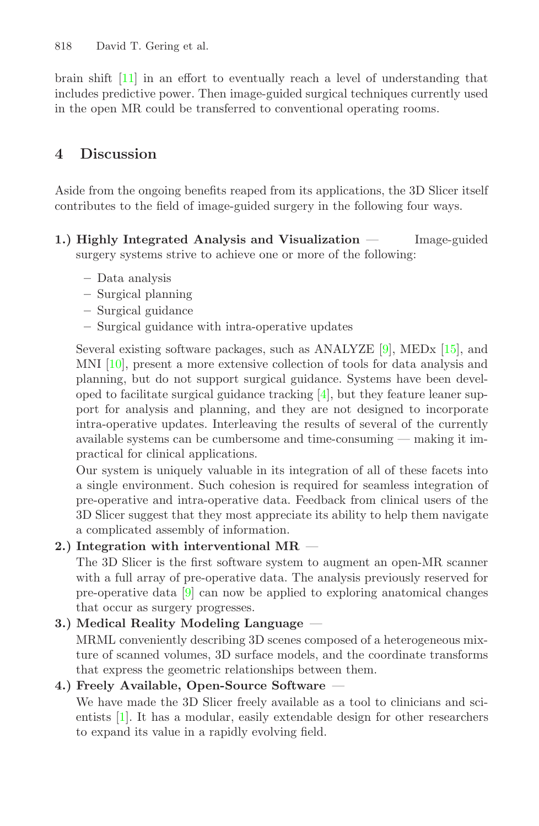brain shift [11] in an effort to eventually reach a level of understanding that includes predictive power. Then image-guided surgical techniques currently used in the open MR could be transferred to conventional operating rooms.

# **4 Discussion**

Aside from the ongoing benefits reaped from its applications, the 3D Slicer itself contributes to the field of image-guided surgery in the following four ways.

- **1.) Highly Integrated Analysis and Visualization** Image-guided surgery systems strive to achieve one or more of the following:
	- **–** Data analysis
	- **–** Surgical planning
	- **–** Surgical guidance
	- **–** Surgical guidance with intra-operative updates

Several existing software packages, such as ANALYZE [9], MEDx [15], and MNI [10], present a more extensive collection of tools for data analysis and planning, but do not support surgical guidance. Systems have been developed to facilitate surgical guidance tracking  $[4]$ , but they feature leaner support for analysis and planning, and they are not designed to incorporate intra-operative updates. Interleaving the results of several of the currently available systems can be cumbersome and time-consuming — making it impractical for clinical applications.

Our system is uniquely valuable in its integration of all of these facets into a single environment. Such cohesion is required for seamless integration of pre-operative and intra-operative data. Feedback from clinical users of the 3D Slicer suggest that they most appreciate its ability to help them navigate a complicated assembly of information.

## **2.) Integration with interventional MR** —

The 3D Slicer is the first software system to augment an open-MR scanner with a full array of pre-operative data. The analysis previously reserved for pre-operative data [9] can now be applied to exploring anatomical changes that occur as surgery progresses.

## **3.) Medical Reality Modeling Language** —

MRML conveniently describing 3D scenes composed of a heterogeneous mixture of scanned volumes, 3D surface models, and the coordinate transforms that express the geometric relationships between them.

## **4.) Freely Available, Open-Source Software** —

We have made the 3D Slicer freely available as a tool to clinicians and scientists [1]. It has a modular, easily extendable design for other researchers to expand its value in a rapidly evolving field.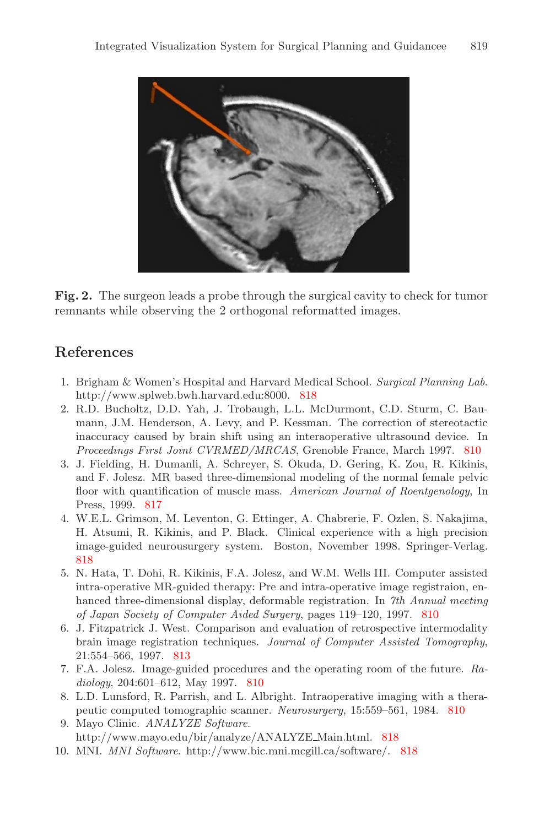

**Fig. 2.** The surgeon leads a probe through the surgical cavity to check for tumor remnants while observing the 2 orthogonal reformatted images.

## **References**

- 1. Brigham & Women's Hospital and Harvard Medical School. *Surgical Planning Lab*. http://www.splweb.bwh.harvard.edu:8000. 818
- 2. R.D. Bucholtz, D.D. Yah, J. Trobaugh, L.L. McDurmont, C.D. Sturm, C. Baumann, J.M. Henderson, A. Levy, and P. Kessman. The correction of stereotactic inaccuracy caused by brain shift using an interaoperative ultrasound device. In *Proceedings First Joint CVRMED/MRCAS*, Grenoble France, March 1997. 810
- 3. J. Fielding, H. Dumanli, A. Schreyer, S. Okuda, D. Gering, K. Zou, R. Kikinis, and F. Jolesz. MR based three-dimensional modeling of the normal female pelvic floor with quantification of muscle mass. *American Journal of Roentgenology*, In Press, 1999. 817
- 4. W.E.L. Grimson, M. Leventon, G. Ettinger, A. Chabrerie, F. Ozlen, S. Nakajima, H. Atsumi, R. Kikinis, and P. Black. Clinical experience with a high precision image-guided neurousurgery system. Boston, November 1998. Springer-Verlag. 818
- 5. N. Hata, T. Dohi, R. Kikinis, F.A. Jolesz, and W.M. Wells III. Computer assisted intra-operative MR-guided therapy: Pre and intra-operative image registraion, enhanced three-dimensional display, deformable registration. In *7th Annual meeting of Japan Society of Computer Aided Surgery*, pages 119–120, 1997. 810
- 6. J. Fitzpatrick J. West. Comparison and evaluation of retrospective intermodality brain image registration techniques. *Journal of Computer Assisted Tomography*, 21:554–566, 1997. 813
- 7. F.A. Jolesz. Image-guided procedures and the operating room of the future. *Radiology*, 204:601–612, May 1997. 810
- 8. L.D. Lunsford, R. Parrish, and L. Albright. Intraoperative imaging with a therapeutic computed tomographic scanner. *Neurosurgery*, 15:559–561, 1984. 810
- 9. Mayo Clinic. *ANALYZE Software*. http://www.mayo.edu/bir/analyze/ANALYZE Main.html. 818
- 10. MNI. *MNI Software*. http://www.bic.mni.mcgill.ca/software/. 818